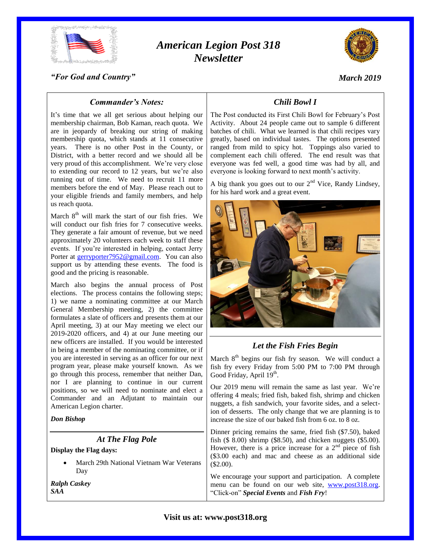

# *American Legion Post 318 Newsletter*



*March 2019*

*"For God and Country"*

## *Commander's Notes:*

It's time that we all get serious about helping our membership chairman, Bob Kaman, reach quota. We are in jeopardy of breaking our string of making membership quota, which stands at 11 consecutive years. There is no other Post in the County, or District, with a better record and we should all be very proud of this accomplishment. We're very close to extending our record to 12 years, but we're also running out of time. We need to recruit 11 more members before the end of May. Please reach out to your eligible friends and family members, and help us reach quota.

March  $8<sup>th</sup>$  will mark the start of our fish fries. We will conduct our fish fries for 7 consecutive weeks. They generate a fair amount of revenue, but we need approximately 20 volunteers each week to staff these events. If you're interested in helping, contact Jerry Porter at [gerryporter7952@gmail.com.](mailto:gerryporter7952@gmail.com) You can also support us by attending these events. The food is good and the pricing is reasonable.

March also begins the annual process of Post elections. The process contains the following steps; 1) we name a nominating committee at our March General Membership meeting, 2) the committee formulates a slate of officers and presents them at our April meeting, 3) at our May meeting we elect our 2019-2020 officers, and 4) at our June meeting our new officers are installed. If you would be interested in being a member of the nominating committee, or if you are interested in serving as an officer for our next program year, please make yourself known. As we go through this process, remember that neither Dan, nor I are planning to continue in our current positions, so we will need to nominate and elect a Commander and an Adjutant to maintain our American Legion charter.

#### *Don Bishop*

#### *At The Flag Pole*

#### **Display the Flag days:**

 March 29th National Vietnam War Veterans Day

*Ralph Caskey SAA*

# *Chili Bowl I*

The Post conducted its First Chili Bowl for February's Post Activity. About 24 people came out to sample 6 different batches of chili. What we learned is that chili recipes vary greatly, based on individual tastes. The options presented ranged from mild to spicy hot. Toppings also varied to complement each chili offered. The end result was that everyone was fed well, a good time was had by all, and everyone is looking forward to next month's activity.

A big thank you goes out to our  $2<sup>nd</sup>$  Vice, Randy Lindsey, for his hard work and a great event.



## *Let the Fish Fries Begin*

March  $8<sup>th</sup>$  begins our fish fry season. We will conduct a fish fry every Friday from 5:00 PM to 7:00 PM through Good Friday, April 19<sup>th</sup>.

Our 2019 menu will remain the same as last year. We're offering 4 meals; fried fish, baked fish, shrimp and chicken nuggets, a fish sandwich, your favorite sides, and a selection of desserts. The only change that we are planning is to increase the size of our baked fish from 6 oz. to 8 oz.

Dinner pricing remains the same, fried fish (\$7.50), baked fish (\$ 8.00) shrimp (\$8.50), and chicken nuggets (\$5.00). However, there is a price increase for a  $2<sup>nd</sup>$  piece of fish (\$3.00 each) and mac and cheese as an additional side  $$2.00$ ).

We encourage your support and participation. A complete menu can be found on our web site, [www.post318.org.](http://www.post318.org/) "Click-on" *Special Events* and *Fish Fry*!

**Visit us at: www.post318.org**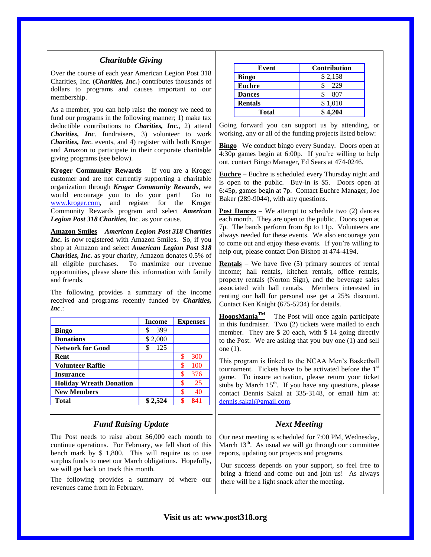## *Charitable Giving*

Over the course of each year American Legion Post 318 Charities, Inc. (*Charities, Inc.*) contributes thousands of dollars to programs and causes important to our membership.

As a member, you can help raise the money we need to fund our programs in the following manner; 1) make tax deductible contributions to *Charities, Inc.*, 2) attend *Charities, Inc*. fundraisers, 3) volunteer to work *Charities, Inc*. events, and 4) register with both Kroger and Amazon to participate in their corporate charitable giving programs (see below).

**Kroger Community Rewards** – If you are a Kroger customer and are not currently supporting a charitable organization through *Kroger Community Rewards*, we would encourage you to do your part! Go to [www.kroger.com,](http://www.kroger.com/) and register for the Kroger Community Rewards program and select *American Legion Post 318 Charities*, Inc. as your cause.

**Amazon Smiles** – *American Legion Post 318 Charities Inc.* is now registered with Amazon Smiles. So, if you shop at Amazon and select *American Legion Post 318 Charities, Inc.* as your charity, Amazon donates 0.5% of all eligible purchases. To maximize our revenue opportunities, please share this information with family and friends.

The following provides a summary of the income received and programs recently funded by *Charities, Inc*.:

|                                | <b>Income</b> | <b>Expenses</b> |
|--------------------------------|---------------|-----------------|
| <b>Bingo</b>                   | 399           |                 |
| <b>Donations</b>               | \$2,000       |                 |
| <b>Network for Good</b>        | 125           |                 |
| Rent                           |               | 300             |
| <b>Volunteer Raffle</b>        |               | 100             |
| <b>Insurance</b>               |               | 376             |
| <b>Holiday Wreath Donation</b> |               | 25              |
| <b>New Members</b>             |               | 40              |
| <b>Total</b>                   | \$2.524       | 841             |

## *Fund Raising Update*

The Post needs to raise about \$6,000 each month to continue operations. For February, we fell short of this bench mark by \$ 1,800. This will require us to use surplus funds to meet our March obligations. Hopefully, we will get back on track this month.

The following provides a summary of where our revenues came from in February.

| Event          | <b>Contribution</b> |
|----------------|---------------------|
| <b>Bingo</b>   | \$2,158             |
| <b>Euchre</b>  | 229                 |
| <b>Dances</b>  | 807                 |
| <b>Rentals</b> | \$1,010             |
| <b>Total</b>   | \$4.204             |

Going forward you can support us by attending, or working, any or all of the funding projects listed below:

**Bingo** –We conduct bingo every Sunday. Doors open at 4:30p games begin at 6:00p. If you're willing to help out, contact Bingo Manager, Ed Sears at 474-0246.

**Euchre** – Euchre is scheduled every Thursday night and is open to the public. Buy-in is \$5. Doors open at 6:45p, games begin at 7p. Contact Euchre Manager, Joe Baker (289-9044), with any questions.

**Post Dances** – We attempt to schedule two (2) dances each month. They are open to the public. Doors open at 7p. The bands perform from 8p to 11p. Volunteers are always needed for these events. We also encourage you to come out and enjoy these events. If you're willing to help out, please contact Don Bishop at 474-4194.

**Rentals** – We have five (5) primary sources of rental income; hall rentals, kitchen rentals, office rentals, property rentals (Norton Sign), and the beverage sales associated with hall rentals. Members interested in renting our hall for personal use get a 25% discount. Contact Ken Knight (675-5234) for details.

**HoopsMania**<sup>TM</sup> – The Post will once again participate in this fundraiser. Two (2) tickets were mailed to each member. They are \$ 20 each, with \$ 14 going directly to the Post. We are asking that you buy one (1) and sell one (1).

This program is linked to the NCAA Men's Basketball tournament. Tickets have to be activated before the  $1<sup>st</sup>$ game. To insure activation, please return your ticket stubs by March  $15<sup>th</sup>$ . If you have any questions, please contact Dennis Sakal at 335-3148, or email him at: [dennis.sakal@gmail.com.](mailto:dennis.sakal@gmail.com)

## *Next Meeting*

Our next meeting is scheduled for 7:00 PM, Wednesday, March  $13<sup>th</sup>$ . As usual we will go through our committee reports, updating our projects and programs.

Our success depends on your support, so feel free to bring a friend and come out and join us! As always there will be a light snack after the meeting.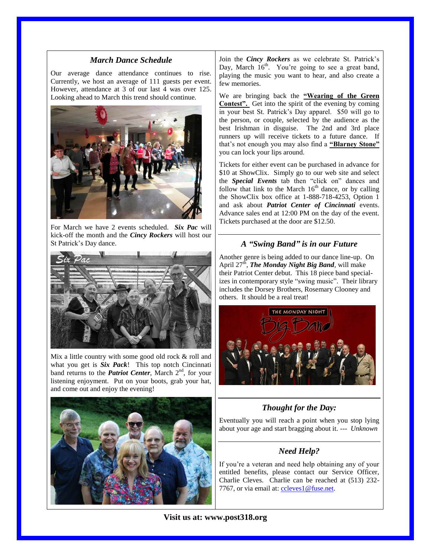### *March Dance Schedule*

Our average dance attendance continues to rise. Currently, we host an average of 111 guests per event. However, attendance at 3 of our last 4 was over 125. Looking ahead to March this trend should continue.



For March we have 2 events scheduled. *Six Pac* will kick-off the month and the *Cincy Rockers* will host our St Patrick's Day dance.



Mix a little country with some good old rock & roll and what you get is *Six Pack*! This top notch Cincinnati band returns to the *Patriot Center*, March 2<sup>nd</sup>, for your listening enjoyment. Put on your boots, grab your hat, and come out and enjoy the evening!



Join the *Cincy Rockers* as we celebrate St. Patrick's Day, March  $16<sup>th</sup>$ . You're going to see a great band, playing the music you want to hear, and also create a few memories.

We are bringing back the **"Wearing of the Green Contest".** Get into the spirit of the evening by coming in your best St. Patrick's Day apparel. \$50 will go to the person, or couple, selected by the audience as the best Irishman in disguise. The 2nd and 3rd place runners up will receive tickets to a future dance. If that's not enough you may also find a **"Blarney Stone"** you can lock your lips around.

Tickets for either event can be purchased in advance for \$10 at ShowClix. Simply go to our web site and select the *Special Events* tab then "click on" dances and follow that link to the March  $16<sup>th</sup>$  dance, or by calling the ShowClix box office at 1-888-718-4253, Option 1 and ask about *Patriot Center of Cincinnati* events. Advance sales end at 12:00 PM on the day of the event. Tickets purchased at the door are \$12.50.

## *A "Swing Band" is in our Future*

Another genre is being added to our dance line-up. On April 27<sup>th</sup>, *The Monday Night Big Band*, will make their Patriot Center debut. This 18 piece band specializes in contemporary style "swing music". Their library includes the Dorsey Brothers, Rosemary Clooney and others. It should be a real treat!



# *Thought for the Day:*

Eventually you will reach a point when you stop lying about your age and start bragging about it. --- *Unknown*

# *Need Help?*

If you're a veteran and need help obtaining any of your entitled benefits, please contact our Service Officer, Charlie Cleves. Charlie can be reached at (513) 232 7767, or via email at: [ccleves1@fuse.net.](mailto:ccleves1@fuse.net)

**Visit us at: www.post318.org**